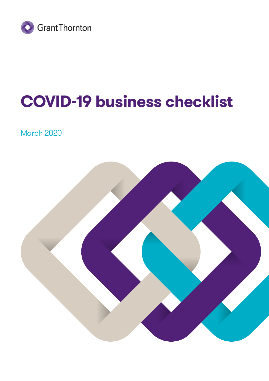

# **COVID-19 business checklist**

March 2020

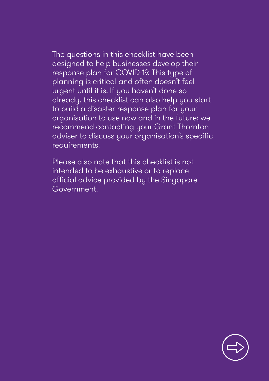The questions in this checklist have been designed to help businesses develop their response plan for COVID-19. This type of planning is critical and often doesn't feel urgent until it is. If you haven't done so already, this checklist can also help you start to build a disaster response plan for your organisation to use now and in the future; we recommend contacting your Grant Thornton adviser to discuss your organisation's specific requirements.

Please also note that this checklist is not intended to be exhaustive or to replace official advice provided by the Singapore Government.

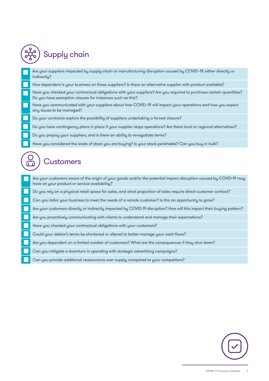## Supply chain

Are your suppliers impacted by supply chain or manufacturing disruption caused by COVID–19, either directly or indirectly?

How dependent is your business on these suppliers? Is there an alternative supplier with product available?

Have you checked your contractual obligations with your suppliers? Are you required to purchase certain quantities? Do you have exemption clauses for instances such as this?

Have you communicated with your suppliers about how COVID–19 will impact your operations and how you expect any issues to be managed?

Do your contracts explore the possibility of suppliers undertaking a forced closure?

Do you have contingency plans in place if your supplier stops operations? Are there local or regional alternatives?

Do you prepay your suppliers, and is there an ability to renegotiate terms?

Have you considered the levels of stock you are buying? Is your stock perishable? Can you buy in bulk?

#### Customers

Are your customers aware of the origin of your goods and/or the potential impact disruption caused by COVID-19 may have on your product or service availability?

Do you rely on a physical retail space for sales, and what proportion of sales require direct customer contact?

Can you tailor your business to meet the needs of a remote customer? Is this an opportunity to grow?

Are your customers directly or indirectly impacted by COVID-19 disruption? How will this impact their buying pattern?

Are you proactively communicating with clients to understand and manage their expectations?

Have you checked your contractual obligations with your customers?

Could your debtor's terms be shortened or altered to better manage your cash flows?

Are you dependent on a limited number of customers? What are the consequences if they shut down?

Can you mitigate a downturn in spending with strategic advertising campaigns?

Can you provide additional reassurance over supply compared to your competitors?

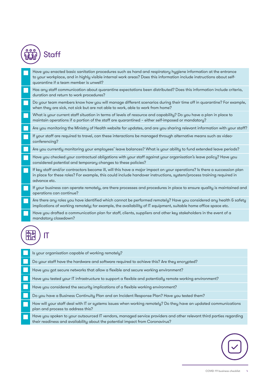| ٥<br>$\bullet$<br>Ω<br>ĽЛ | Statt |
|---------------------------|-------|
|---------------------------|-------|

Have you enacted basic sanitation procedures such as hand and respiratory hygiene information at the entrance to your workplace, and in highly visible internal work areas? Does this information include instructions about selfquarantine if a team member is unwell?

Has any staff communication about quarantine expectations been distributed? Does this information include criteria, duration and return to work procedures?

Do your team members know how you will manage different scenarios during their time off in quarantine? For example, when they are sick, not sick but are not able to work, able to work from home?

What is your current staff situation in terms of levels of resource and capability? Do you have a plan in place to maintain operations if a portion of the staff are quarantined – either self-imposed or mandatory?

Are you monitoring the Ministry of Health website for updates, and are you sharing relevant information with your staff?

If your staff are required to travel, can these interactions be managed through alternative means such as videoconferencing?

Are you currently monitoring your employees' leave balances? What is your ability to fund extended leave periods?

Have you checked your contractual obligations with your staff against your organisation's leave policy? Have you considered potential and temporary changes to these policies?

If key staff and/or contractors become ill, will this have a major impact on your operations? Is there a succession plan in place for these roles? For example, this could include handover instructions, system/process training required in advance etc.

If your business can operate remotely, are there processes and procedures in place to ensure quality is maintained and operations can continue?

Are there any roles you have identified which cannot be performed remotely? Have you considered any health & safety implications of working remotely; for example, the availability of IT equipment, suitable home office space etc.

Have you drafted a communication plan for staff, clients, suppliers and other key stakeholders in the event of a mandatory closedown?

## IT

Is your organisation capable of working remotely?

Do your staff have the hardware and software required to achieve this? Are they encrypted?

Have you got secure networks that allow a flexible and secure working environment?

Have you tested your IT infrastructure to support a flexible and potentially remote working environment?

Have you considered the security implications of a flexible working environment?

Do you have a Business Continuity Plan and an Incident Response Plan? Have you tested them?

How will your staff deal with IT or systems issues when working remotely? Do they have an updated communications plan and process to address this?

Have you spoken to your outsourced IT vendors, managed service providers and other relevant third parties regarding their readiness and availability about the potential impact from Coronavirus?

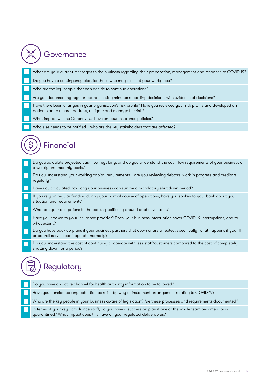| <i><b>Governance</b></i> |                                                                                                                                                                                    |  |
|--------------------------|------------------------------------------------------------------------------------------------------------------------------------------------------------------------------------|--|
|                          | What are your current messages to the business regarding their preparation, management and response to COVID-19?                                                                   |  |
|                          | Do you have a contingency plan for those who may fall ill at your workplace?                                                                                                       |  |
|                          | Who are the key people that can decide to continue operations?                                                                                                                     |  |
|                          | Are you documenting regular board meeting minutes regarding decisions, with evidence of decisions?                                                                                 |  |
|                          | Have there been changes in your organisation's risk profile? Have you reviewed your risk profile and developed an<br>action plan to record, address, mitigate and manage the risk? |  |
|                          | What impact will the Coronavirus have on your insurance policies?                                                                                                                  |  |
|                          | Who else needs to be notified - who are the key stakeholders that are affected?                                                                                                    |  |
|                          | <b>Financial</b><br>Do you calculate projected cashflow regularly, and do you understand the cashflow requirements of your business on<br>a weekly and monthly basis?              |  |
|                          | Do you understand your working capital requirements - are you reviewing debtors, work in progress and creditors<br>regularly?                                                      |  |
|                          | Have you calculated how long your business can survive a mandatory shut down period?                                                                                               |  |
|                          | If you rely on regular funding during your normal course of operations, have you spoken to your bank about your<br>situation and requirements?                                     |  |
|                          | What are your obligations to the bank, specifically around debt covenants?                                                                                                         |  |
|                          | Have you spoken to your insurance provider? Does your business interruption cover COVID-19 interruptions, and to<br>what extent?                                                   |  |
|                          | Do you have back up plans if your business partners shut down or are affected; specifically, what happens if your IT<br>or payroll service can't operate normally?                 |  |
|                          | Do you understand the cost of continuing to operate with less staff/customers compared to the cost of completely<br>shutting down for a period?                                    |  |
|                          |                                                                                                                                                                                    |  |

### Regulatory

Do you have an active channel for health authority information to be followed?

Have you considered any potential tax relief by way of instalment arrangement relating to COVID-19?

Who are the key people in your business aware of legislation? Are these processes and requirements documented?

In terms of your key compliance staff, do you have a succession plan if one or the whole team become ill or is quarantined? What impact does this have on your regulated deliverables?